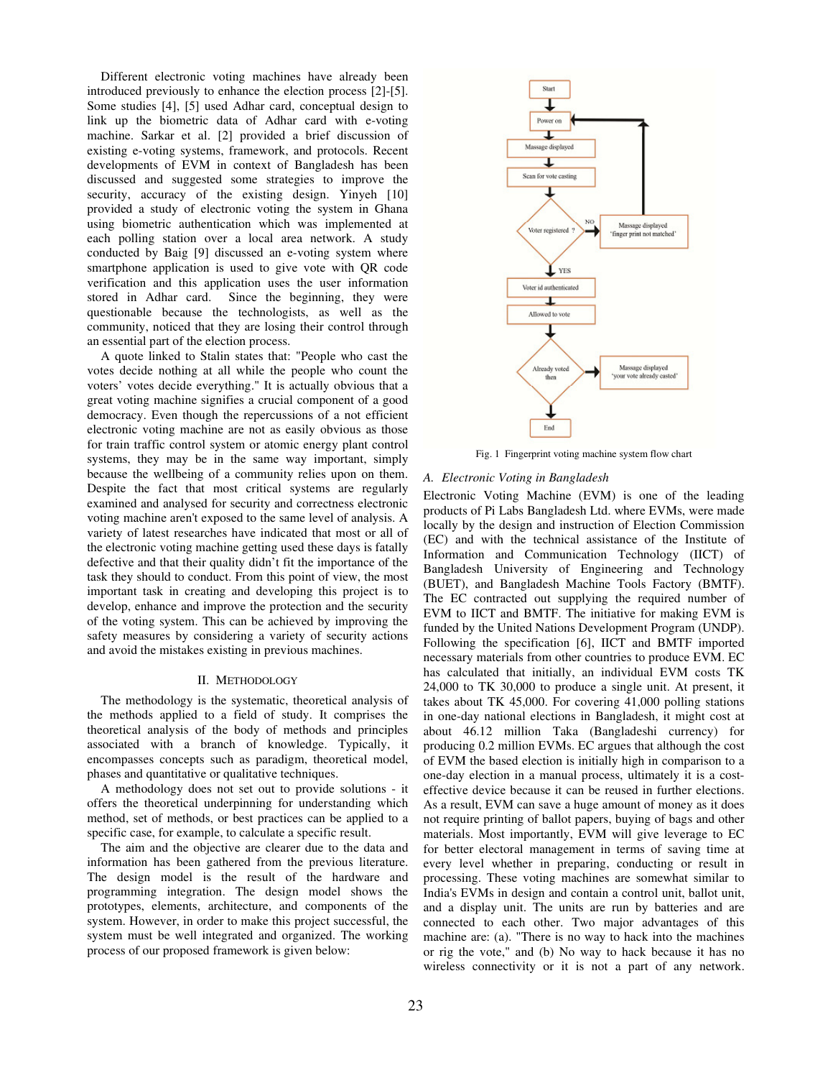Different electronic voting machines have already been introduced previously to enhance the election process [2]-[5]. Some studies [4], [5] used Adhar card, conceptual design to link up the biometric data of Adhar card with e-voting machine. Sarkar et al. [2] provided a brief discussion of existing e-voting systems, framework, and protocols. Recent developments of EVM in context of Bangladesh has been discussed and suggested some strategies to improve the security, accuracy of the existing design. Yinyeh [10] provided a study of electronic voting the system in Ghana using biometric authentication which was implemented at each polling station over a local area network. A study conducted by Baig [9] discussed an e-voting system where smartphone application is used to give vote with QR code verification and this application uses the user information stored in Adhar card. Since the beginning, they were questionable because the technologists, as well as the community, noticed that they are losing their control through an essential part of the election process.

A quote linked to Stalin states that: "People who cast the votes decide nothing at all while the people who count the voters' votes decide everything." It is actually obvious that a great voting machine signifies a crucial component of a good democracy. Even though the repercussions of a not efficient electronic voting machine are not as easily obvious as those for train traffic control system or atomic energy plant control systems, they may be in the same way important, simply because the wellbeing of a community relies upon on them. Despite the fact that most critical systems are regularly examined and analysed for security and correctness electronic voting machine aren't exposed to the same level of analysis. A variety of latest researches have indicated that most or all of the electronic voting machine getting used these days is fatally defective and that their quality didn't fit the importance of the task they should to conduct. From this point of view, the most important task in creating and developing this project is to develop, enhance and improve the protection and the security of the voting system. This can be achieved by improving the safety measures by considering a variety of security actions and avoid the mistakes existing in previous machines.

## II. METHODOLOGY

The methodology is the systematic, theoretical analysis of the methods applied to a field of study. It comprises the theoretical analysis of the body of methods and principles associated with a branch of knowledge. Typically, it encompasses concepts such as paradigm, theoretical model, phases and quantitative or qualitative techniques.

A methodology does not set out to provide solutions - it offers the theoretical underpinning for understanding which method, set of methods, or best practices can be applied to a specific case, for example, to calculate a specific result.

The aim and the objective are clearer due to the data and information has been gathered from the previous literature. The design model is the result of the hardware and programming integration. The design model shows the prototypes, elements, architecture, and components of the system. However, in order to make this project successful, the system must be well integrated and organized. The working process of our proposed framework is given below:



Fig. 1 Fingerprint voting machine system flow chart

# *A. Electronic Voting in Bangladesh*

Electronic Voting Machine (EVM) is one of the leading products of Pi Labs Bangladesh Ltd. where EVMs, were made locally by the design and instruction of Election Commission (EC) and with the technical assistance of the Institute of Information and Communication Technology (IICT) of Bangladesh University of Engineering and Technology (BUET), and Bangladesh Machine Tools Factory (BMTF). The EC contracted out supplying the required number of EVM to IICT and BMTF. The initiative for making EVM is funded by the United Nations Development Program (UNDP). Following the specification [6], IICT and BMTF imported necessary materials from other countries to produce EVM. EC has calculated that initially, an individual EVM costs TK 24,000 to TK 30,000 to produce a single unit. At present, it takes about TK 45,000. For covering 41,000 polling stations in one-day national elections in Bangladesh, it might cost at about 46.12 million Taka (Bangladeshi currency) for producing 0.2 million EVMs. EC argues that although the cost of EVM the based election is initially high in comparison to a one-day election in a manual process, ultimately it is a costeffective device because it can be reused in further elections. As a result, EVM can save a huge amount of money as it does not require printing of ballot papers, buying of bags and other materials. Most importantly, EVM will give leverage to EC for better electoral management in terms of saving time at every level whether in preparing, conducting or result in processing. These voting machines are somewhat similar to India's EVMs in design and contain a control unit, ballot unit, and a display unit. The units are run by batteries and are connected to each other. Two major advantages of this machine are: (a). "There is no way to hack into the machines or rig the vote," and (b) No way to hack because it has no wireless connectivity or it is not a part of any network.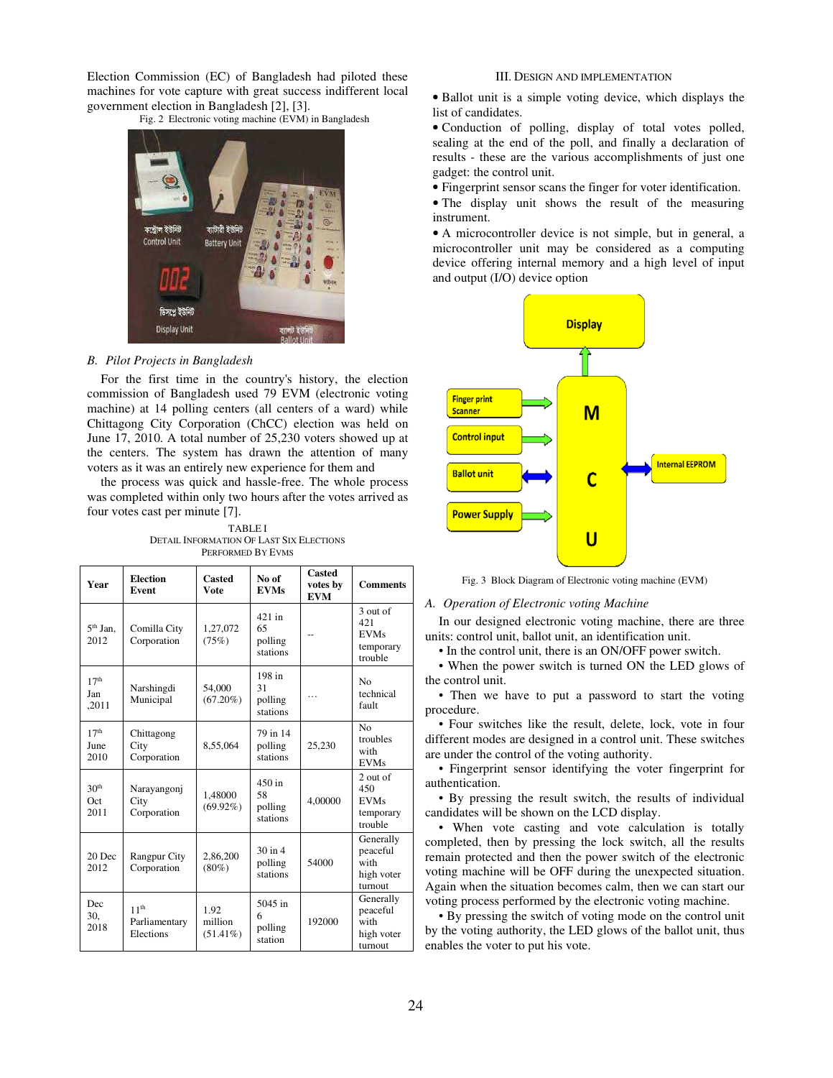Election Commission (EC) of Bangladesh had piloted these machines for vote capture with great success indifferent local government election in Bangladesh [2], [3].

Fig. 2 Electronic voting machine (EVM) in Bangladesh



# *B. Pilot Projects in Bangladesh*

For the first time in the country's history, the election commission of Bangladesh used 79 EVM (electronic voting machine) at 14 polling centers (all centers of a ward) while Chittagong City Corporation (ChCC) election was held on June 17, 2010. A total number of 25,230 voters showed up at the centers. The system has drawn the attention of many voters as it was an entirely new experience for them and

the process was quick and hassle-free. The whole process was completed within only two hours after the votes arrived as four votes cast per minute [7].

TABLE I DETAIL INFORMATION OF LAST SIX ELECTIONS PERFORMED BY EVMS

| Year                             | <b>Election</b><br>Event                       | Casted<br>Vote                 | No of<br><b>EVMs</b>                  | Casted<br>votes by<br><b>EVM</b> | <b>Comments</b>                                        |
|----------------------------------|------------------------------------------------|--------------------------------|---------------------------------------|----------------------------------|--------------------------------------------------------|
| $5th$ Jan.<br>2012               | Comilla City<br>Corporation                    | 1,27,072<br>(75%)              | 421 in<br>65<br>polling<br>stations   |                                  | 3 out of<br>421<br><b>EVMs</b><br>temporary<br>trouble |
| 17 <sup>th</sup><br>Jan<br>,2011 | Narshingdi<br>Municipal                        | 54,000<br>$(67.20\%)$          | 198 in<br>31<br>polling<br>stations   |                                  | N <sub>0</sub><br>technical<br>fault                   |
| 17 <sup>th</sup><br>June<br>2010 | Chittagong<br>City<br>Corporation              | 8,55,064                       | 79 in 14<br>polling<br>stations       | 25,230                           | No<br>troubles<br>with<br><b>EVMs</b>                  |
| 30 <sup>th</sup><br>Oct<br>2011  | Narayangonj<br>City<br>Corporation             | 1,48000<br>$(69.92\%)$         | $450$ in<br>58<br>polling<br>stations | 4,00000                          | 2 out of<br>450<br><b>EVMs</b><br>temporary<br>trouble |
| 20 Dec<br>2012                   | <b>Rangpur City</b><br>Corporation             | 2,86,200<br>$(80\%)$           | $30$ in $4$<br>polling<br>stations    | 54000                            | Generally<br>peaceful<br>with<br>high voter<br>turnout |
| Dec<br>30,<br>2018               | 11 <sup>th</sup><br>Parliamentary<br>Elections | 1.92<br>million<br>$(51.41\%)$ | 5045 in<br>6<br>polling<br>station    | 192000                           | Generally<br>peaceful<br>with<br>high voter<br>turnout |

# III. DESIGN AND IMPLEMENTATION

• Ballot unit is a simple voting device, which displays the list of candidates.

• Conduction of polling, display of total votes polled, sealing at the end of the poll, and finally a declaration of results - these are the various accomplishments of just one gadget: the control unit.

• Fingerprint sensor scans the finger for voter identification.

• The display unit shows the result of the measuring instrument.

• A microcontroller device is not simple, but in general, a microcontroller unit may be considered as a computing device offering internal memory and a high level of input and output (I/O) device option



Fig. 3 Block Diagram of Electronic voting machine (EVM)

### *A. Operation of Electronic voting Machine*

In our designed electronic voting machine, there are three units: control unit, ballot unit, an identification unit.

• In the control unit, there is an ON/OFF power switch.

• When the power switch is turned ON the LED glows of the control unit.

• Then we have to put a password to start the voting procedure.

• Four switches like the result, delete, lock, vote in four different modes are designed in a control unit. These switches are under the control of the voting authority.

• Fingerprint sensor identifying the voter fingerprint for authentication.

• By pressing the result switch, the results of individual candidates will be shown on the LCD display.

• When vote casting and vote calculation is totally completed, then by pressing the lock switch, all the results remain protected and then the power switch of the electronic voting machine will be OFF during the unexpected situation. Again when the situation becomes calm, then we can start our voting process performed by the electronic voting machine.

• By pressing the switch of voting mode on the control unit by the voting authority, the LED glows of the ballot unit, thus enables the voter to put his vote.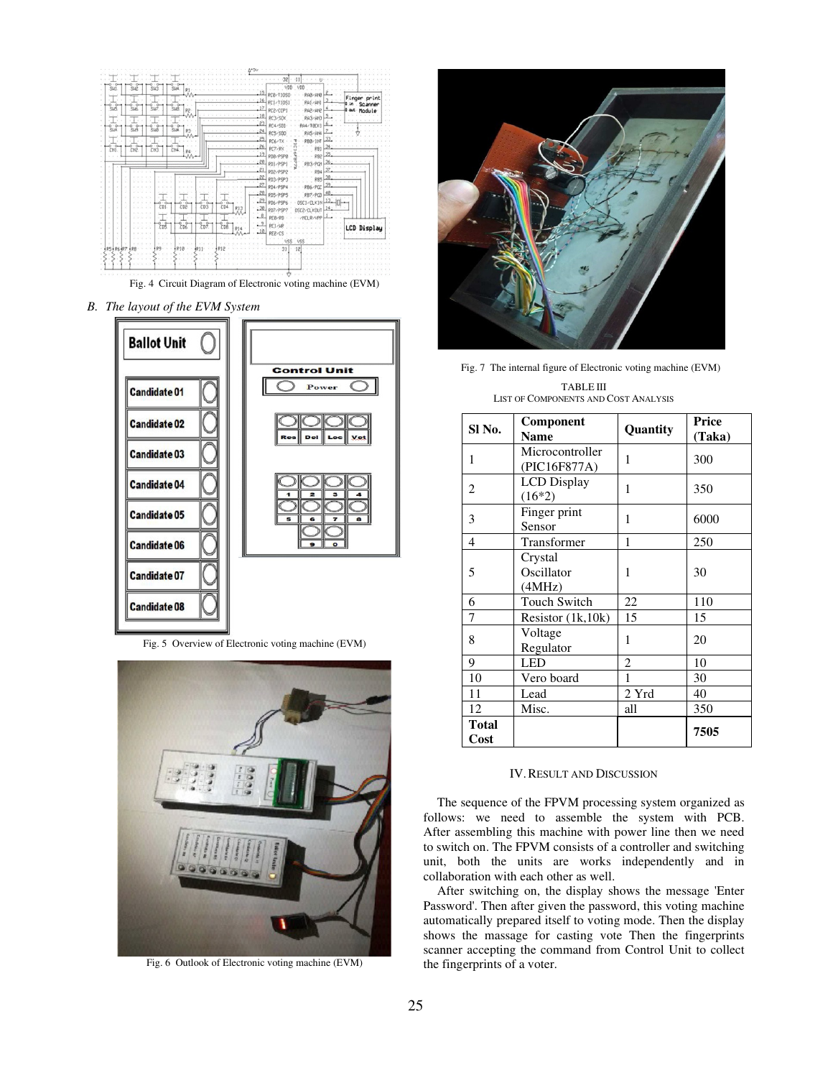

Fig. 4 Circuit Diagram of Electronic voting machine (EVM)

*B. The layout of the EVM System* 



Fig. 5 Overview of Electronic voting machine (EVM)



Fig. 6 Outlook of Electronic voting machine (EVM)



Fig. 7 The internal figure of Electronic voting machine (EVM)

TABLE III LIST OF COMPONENTS AND COST ANALYSIS

| SI <sub>No.</sub>    | Component<br><b>Name</b>        | Quantity       | Price<br>(Taka) |
|----------------------|---------------------------------|----------------|-----------------|
| 1                    | Microcontroller<br>(PIC16F877A) | 1              | 300             |
| 2                    | <b>LCD</b> Display<br>$(16*2)$  | 1              | 350             |
| 3                    | Finger print<br>Sensor          | 1              | 6000            |
| 4                    | Transformer                     | 1              | 250             |
| 5                    | Crystal<br>Oscillator<br>(4MHz) | 1              | 30              |
| 6                    | <b>Touch Switch</b>             | 22             | 110             |
| 7                    | Resistor $(1k, 10k)$            | 15             | 15              |
| 8                    | Voltage<br>Regulator            | 1              | 20              |
| 9                    | <b>LED</b>                      | $\overline{c}$ | 10              |
| 10                   | Vero board                      | 1              | 30              |
| 11                   | Lead                            | 2 Yrd          | 40              |
| 12                   | Misc.                           | all            | 350             |
| <b>Total</b><br>Cost |                                 |                | 7505            |

# IV.RESULT AND DISCUSSION

The sequence of the FPVM processing system organized as follows: we need to assemble the system with PCB. After assembling this machine with power line then we need to switch on. The FPVM consists of a controller and switching unit, both the units are works independently and in collaboration with each other as well.

After switching on, the display shows the message 'Enter Password'. Then after given the password, this voting machine automatically prepared itself to voting mode. Then the display shows the massage for casting vote Then the fingerprints scanner accepting the command from Control Unit to collect the fingerprints of a voter.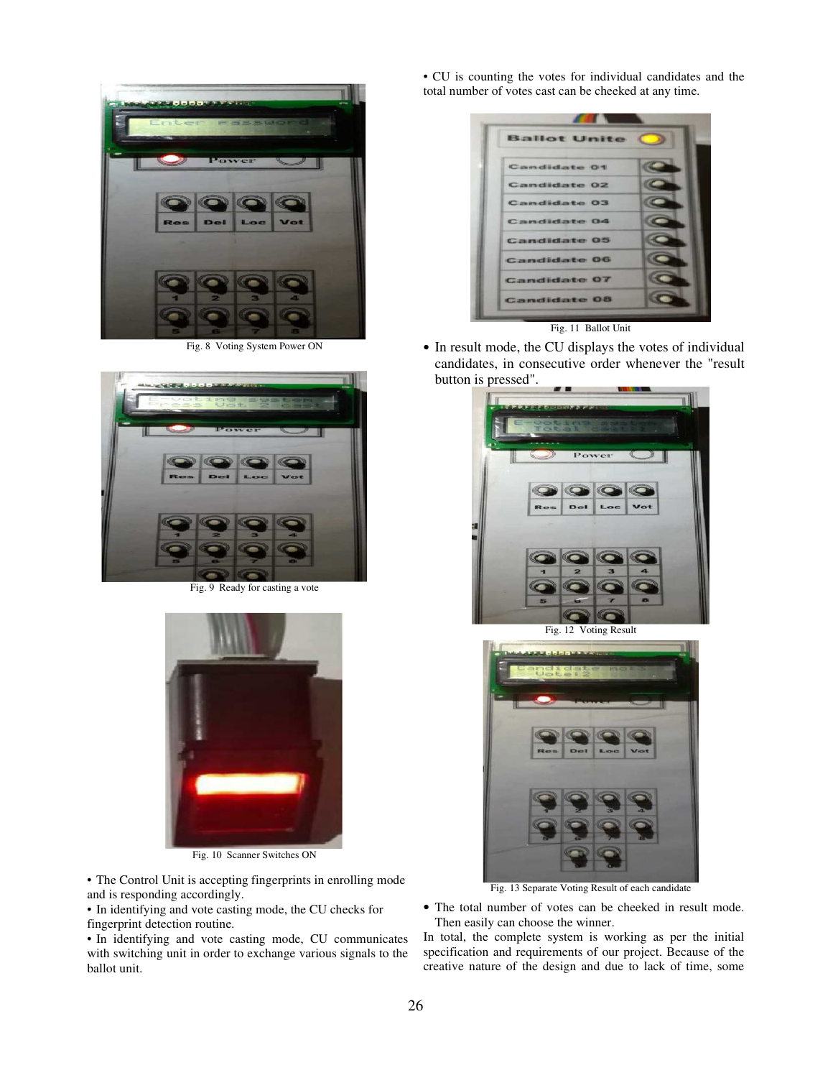

Fig. 8 Voting System Power ON



Fig. 9 Ready for casting a vote



Fig. 10 Scanner Switches ON

• The Control Unit is accepting fingerprints in enrolling mode and is responding accordingly.

• In identifying and vote casting mode, the CU checks for fingerprint detection routine.

• In identifying and vote casting mode, CU communicates with switching unit in order to exchange various signals to the ballot unit.

• CU is counting the votes for individual candidates and the total number of votes cast can be cheeked at any time.

| <b>Ballot Unite</b> |  |
|---------------------|--|
| <b>Candidate 01</b> |  |
| Candidate 02        |  |
| <b>Candidate 03</b> |  |
| <b>Candidate 04</b> |  |
| <b>Candidate 05</b> |  |
| <b>Candidate 06</b> |  |
| <b>Candidate 07</b> |  |
| <b>Candidate 08</b> |  |

Fig. 11 Ballot Unit

• In result mode, the CU displays the votes of individual candidates, in consecutive order whenever the "result button is pressed".





Fig. 13 Separate Voting Result of each candidate

• The total number of votes can be cheeked in result mode. Then easily can choose the winner.

In total, the complete system is working as per the initial specification and requirements of our project. Because of the creative nature of the design and due to lack of time, some